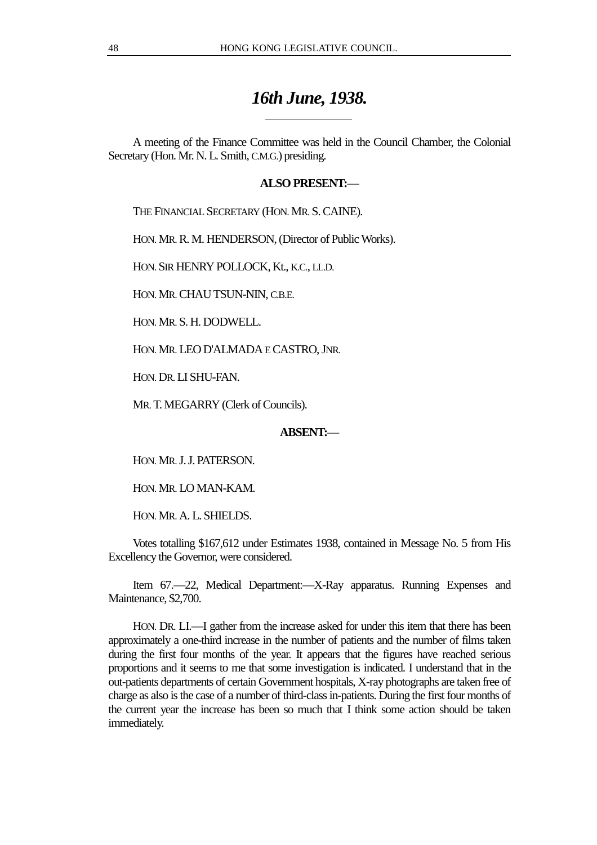## *16th June, 1938.*

A meeting of the Finance Committee was held in the Council Chamber, the Colonial Secretary (Hon. Mr. N. L. Smith, C.M.G.) presiding.

## **ALSO PRESENT:**—

THE FINANCIAL SECRETARY (HON. MR. S. CAINE).

HON. MR. R. M. HENDERSON, (Director of Public Works).

 $\overline{a}$ 

HON. SIR HENRY POLLOCK, Kt., K.C., LL.D.

HON. MR. CHAU TSUN-NIN, C.B.E.

HON. MR. S. H. DODWELL.

HON. MR. LEO D'ALMADA E CASTRO, JNR.

HON. DR. LI SHU-FAN.

MR. T. MEGARRY (Clerk of Councils).

## **ABSENT:**—

HON. MR. J. J. PATERSON.

HON. MR. LO MAN-KAM.

HON. MR. A. L. SHIELDS.

Votes totalling \$167,612 under Estimates 1938, contained in Message No. 5 from His Excellency the Governor, were considered.

Item 67.—22, Medical Department:—X-Ray apparatus. Running Expenses and Maintenance, \$2,700.

HON. DR. LI.—I gather from the increase asked for under this item that there has been approximately a one-third increase in the number of patients and the number of films taken during the first four months of the year. It appears that the figures have reached serious proportions and it seems to me that some investigation is indicated. I understand that in the out-patients departments of certain Government hospitals, X-ray photographs are taken free of charge as also is the case of a number of third-class in-patients. During the first four months of the current year the increase has been so much that I think some action should be taken immediately.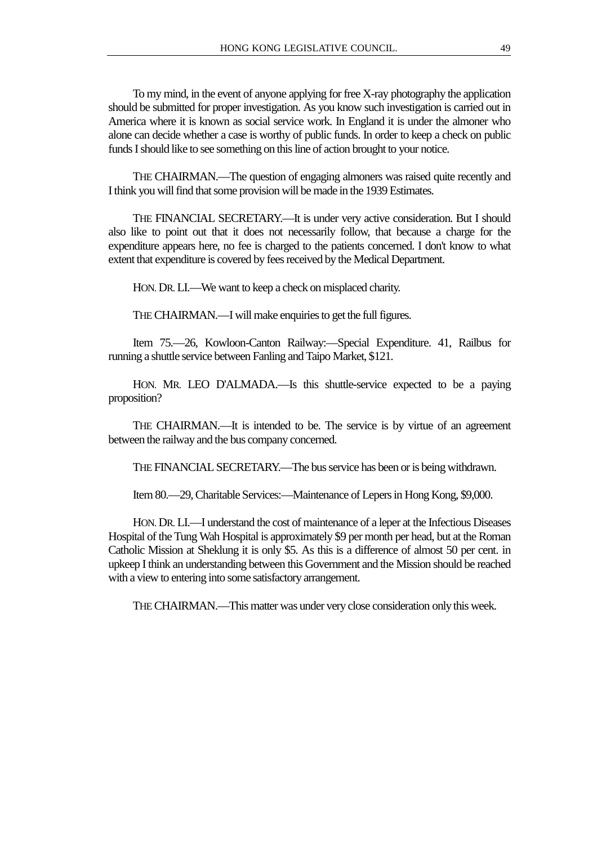To my mind, in the event of anyone applying for free X-ray photography the application should be submitted for proper investigation. As you know such investigation is carried out in America where it is known as social service work. In England it is under the almoner who alone can decide whether a case is worthy of public funds. In order to keep a check on public funds I should like to see something on this line of action brought to your notice.

THE CHAIRMAN.—The question of engaging almoners was raised quite recently and I think you will find that some provision will be made in the 1939 Estimates.

THE FINANCIAL SECRETARY.—It is under very active consideration. But I should also like to point out that it does not necessarily follow, that because a charge for the expenditure appears here, no fee is charged to the patients concerned. I don't know to what extent that expenditure is covered by fees received by the Medical Department.

HON. DR. LI.—We want to keep a check on misplaced charity.

THE CHAIRMAN.—I will make enquiries to get the full figures.

Item 75.—26, Kowloon-Canton Railway:—Special Expenditure. 41, Railbus for running a shuttle service between Fanling and Taipo Market, \$121.

HON. MR. LEO D'ALMADA.—Is this shuttle-service expected to be a paying proposition?

THE CHAIRMAN.—It is intended to be. The service is by virtue of an agreement between the railway and the bus company concerned.

THE FINANCIAL SECRETARY.—The bus service has been or is being withdrawn.

Item 80.—29, Charitable Services:—Maintenance of Lepers in Hong Kong, \$9,000.

HON. DR. LI.—I understand the cost of maintenance of a leper at the Infectious Diseases Hospital of the Tung Wah Hospital is approximately \$9 per month per head, but at the Roman Catholic Mission at Sheklung it is only \$5. As this is a difference of almost 50 per cent. in upkeep I think an understanding between this Government and the Mission should be reached with a view to entering into some satisfactory arrangement.

THE CHAIRMAN.—This matter was under very close consideration only this week.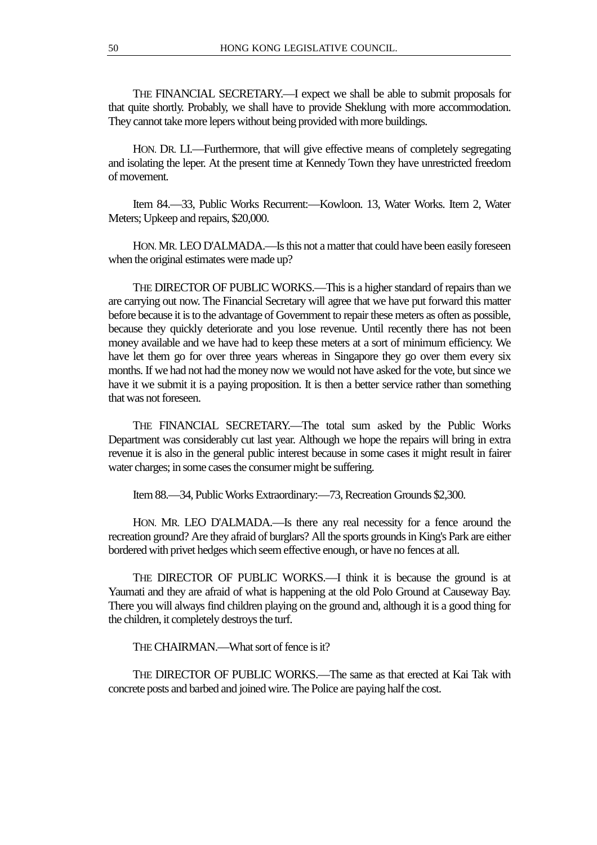THE FINANCIAL SECRETARY.—I expect we shall be able to submit proposals for that quite shortly. Probably, we shall have to provide Sheklung with more accommodation. They cannot take more lepers without being provided with more buildings.

HON. DR. LI.—Furthermore, that will give effective means of completely segregating and isolating the leper. At the present time at Kennedy Town they have unrestricted freedom of movement.

Item 84.—33, Public Works Recurrent:—Kowloon. 13, Water Works. Item 2, Water Meters; Upkeep and repairs, \$20,000.

HON. MR. LEO D'ALMADA.—Is this not a matter that could have been easily foreseen when the original estimates were made up?

THE DIRECTOR OF PUBLIC WORKS.—This is a higher standard of repairs than we are carrying out now. The Financial Secretary will agree that we have put forward this matter before because it is to the advantage of Government to repair these meters as often as possible, because they quickly deteriorate and you lose revenue. Until recently there has not been money available and we have had to keep these meters at a sort of minimum efficiency. We have let them go for over three years whereas in Singapore they go over them every six months. If we had not had the money now we would not have asked for the vote, but since we have it we submit it is a paying proposition. It is then a better service rather than something that was not foreseen.

THE FINANCIAL SECRETARY.—The total sum asked by the Public Works Department was considerably cut last year. Although we hope the repairs will bring in extra revenue it is also in the general public interest because in some cases it might result in fairer water charges; in some cases the consumer might be suffering.

Item 88.—34, Public Works Extraordinary:—73, Recreation Grounds \$2,300.

HON. MR. LEO D'ALMADA.—Is there any real necessity for a fence around the recreation ground? Are they afraid of burglars? All the sports grounds in King's Park are either bordered with privet hedges which seem effective enough, or have no fences at all.

THE DIRECTOR OF PUBLIC WORKS.—I think it is because the ground is at Yaumati and they are afraid of what is happening at the old Polo Ground at Causeway Bay. There you will always find children playing on the ground and, although it is a good thing for the children, it completely destroys the turf.

THE CHAIRMAN.—What sort of fence is it?

THE DIRECTOR OF PUBLIC WORKS.—The same as that erected at Kai Tak with concrete posts and barbed and joined wire. The Police are paying half the cost.